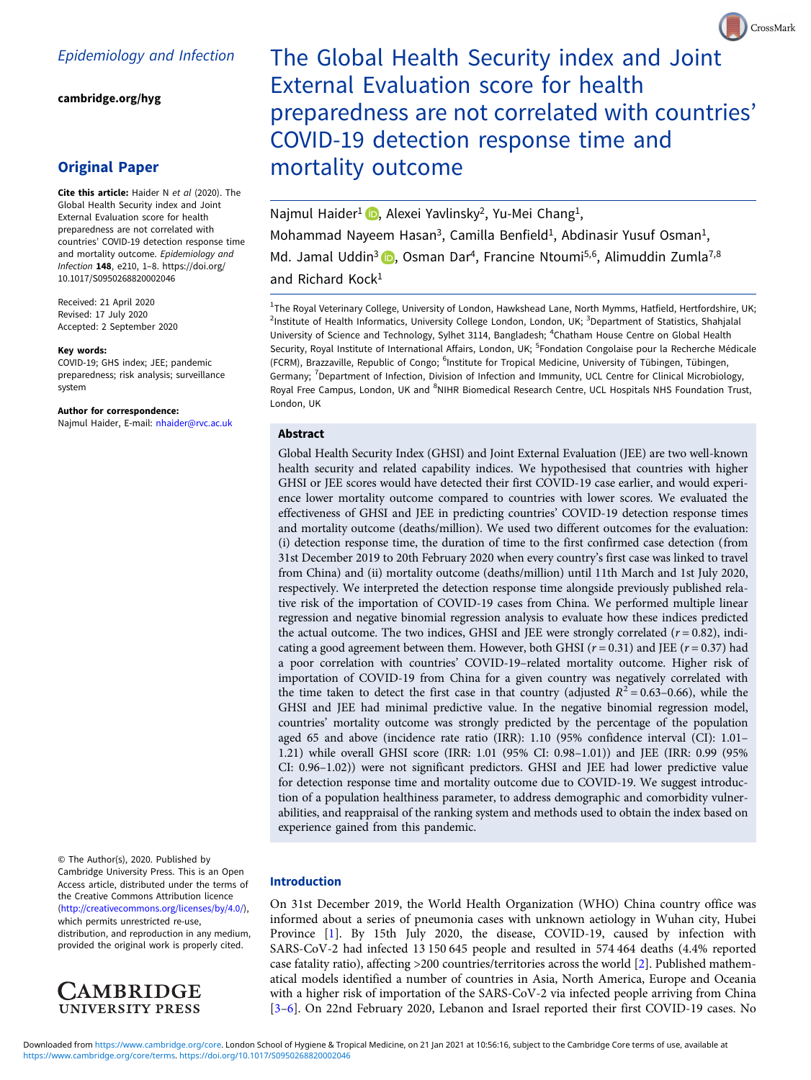[cambridge.org/hyg](https://www.cambridge.org/hyg)

## Original Paper

Cite this article: Haider N et al (2020). The Global Health Security index and Joint External Evaluation score for health preparedness are not correlated with countries' COVID-19 detection response time and mortality outcome. Epidemiology and Infection 148, e210, 1–8. [https://doi.org/](https://doi.org/10.1017/S0950268820002046) [10.1017/S0950268820002046](https://doi.org/10.1017/S0950268820002046)

Received: 21 April 2020 Revised: 17 July 2020 Accepted: 2 September 2020

#### Key words:

COVID-19; GHS index; JEE; pandemic preparedness; risk analysis; surveillance system

Author for correspondence: Najmul Haider, E-mail: [nhaider@rvc.ac.uk](mailto:nhaider@rvc.ac.uk)

© The Author(s), 2020. Published by Cambridge University Press. This is an Open Access article, distributed under the terms of the Creative Commons Attribution licence ([http://creativecommons.org/licenses/by/4.0/\)](http://creativecommons.org/licenses/by/4.0/), which permits unrestricted re-use,

distribution, and reproduction in any medium, provided the original work is properly cited.



# The Global Health Security index and Joint External Evaluation score for health preparedness are not correlated with countries' COVID-19 detection response time and mortality outcome

CrossMark

Najmul Haider<sup>1</sup> D[,](https://orcid.org/0000-0002-5980-3460) Alexei Yavlinsky<sup>2</sup>, Yu-Mei Chang<sup>1</sup>, Mohammad Nayeem Hasan<sup>3</sup>, Camilla Benfield<sup>1</sup>, Abdinasir Yusuf Osman<sup>1</sup>, Md. Jamal Uddin<sup>3</sup> **D**[,](https://orcid.org/0000-0002-8360-3274) Osman Dar<sup>4</sup>, Francine Ntoumi<sup>5,6</sup>, Alimuddin Zumla<sup>7,8</sup> and Richard Kock<sup>1</sup>

<sup>1</sup>The Royal Veterinary College, University of London, Hawkshead Lane, North Mymms, Hatfield, Hertfordshire, UK; <sup>2</sup>Institute of Health Informatics, University College London, London, UK; <sup>3</sup>Department of Statistics, Shahjalal University of Science and Technology, Sylhet 3114, Bangladesh; <sup>4</sup>Chatham House Centre on Global Health Security, Royal Institute of International Affairs, London, UK; <sup>5</sup>Fondation Congolaise pour la Recherche Médicale (FCRM), Brazzaville, Republic of Congo; <sup>6</sup>Institute for Tropical Medicine, University of Tübingen, Tübingen, Germany; <sup>7</sup>Department of Infection, Division of Infection and Immunity, UCL Centre for Clinical Microbiology, Royal Free Campus, London, UK and <sup>8</sup>NIHR Biomedical Research Centre, UCL Hospitals NHS Foundation Trust, London, UK

#### Abstract

Global Health Security Index (GHSI) and Joint External Evaluation (JEE) are two well-known health security and related capability indices. We hypothesised that countries with higher GHSI or JEE scores would have detected their first COVID-19 case earlier, and would experience lower mortality outcome compared to countries with lower scores. We evaluated the effectiveness of GHSI and JEE in predicting countries' COVID-19 detection response times and mortality outcome (deaths/million). We used two different outcomes for the evaluation: (i) detection response time, the duration of time to the first confirmed case detection (from 31st December 2019 to 20th February 2020 when every country's first case was linked to travel from China) and (ii) mortality outcome (deaths/million) until 11th March and 1st July 2020, respectively. We interpreted the detection response time alongside previously published relative risk of the importation of COVID-19 cases from China. We performed multiple linear regression and negative binomial regression analysis to evaluate how these indices predicted the actual outcome. The two indices, GHSI and JEE were strongly correlated  $(r = 0.82)$ , indicating a good agreement between them. However, both GHSI ( $r = 0.31$ ) and JEE ( $r = 0.37$ ) had a poor correlation with countries' COVID-19–related mortality outcome. Higher risk of importation of COVID-19 from China for a given country was negatively correlated with the time taken to detect the first case in that country (adjusted  $R^2 = 0.63-0.66$ ), while the GHSI and JEE had minimal predictive value. In the negative binomial regression model, countries' mortality outcome was strongly predicted by the percentage of the population aged 65 and above (incidence rate ratio (IRR): 1.10 (95% confidence interval (CI): 1.01– 1.21) while overall GHSI score (IRR: 1.01 (95% CI: 0.98–1.01)) and JEE (IRR: 0.99 (95% CI: 0.96–1.02)) were not significant predictors. GHSI and JEE had lower predictive value for detection response time and mortality outcome due to COVID-19. We suggest introduction of a population healthiness parameter, to address demographic and comorbidity vulnerabilities, and reappraisal of the ranking system and methods used to obtain the index based on experience gained from this pandemic.

#### Introduction

On 31st December 2019, the World Health Organization (WHO) China country office was informed about a series of pneumonia cases with unknown aetiology in Wuhan city, Hubei Province [\[1\]](#page-6-0). By 15th July 2020, the disease, COVID-19, caused by infection with SARS-CoV-2 had infected 13 150 645 people and resulted in 574 464 deaths (4.4% reported case fatality ratio), affecting >200 countries/territories across the world [\[2\]](#page-6-0). Published mathematical models identified a number of countries in Asia, North America, Europe and Oceania with a higher risk of importation of the SARS-CoV-2 via infected people arriving from China [[3](#page-6-0)–[6\]](#page-6-0). On 22nd February 2020, Lebanon and Israel reported their first COVID-19 cases. No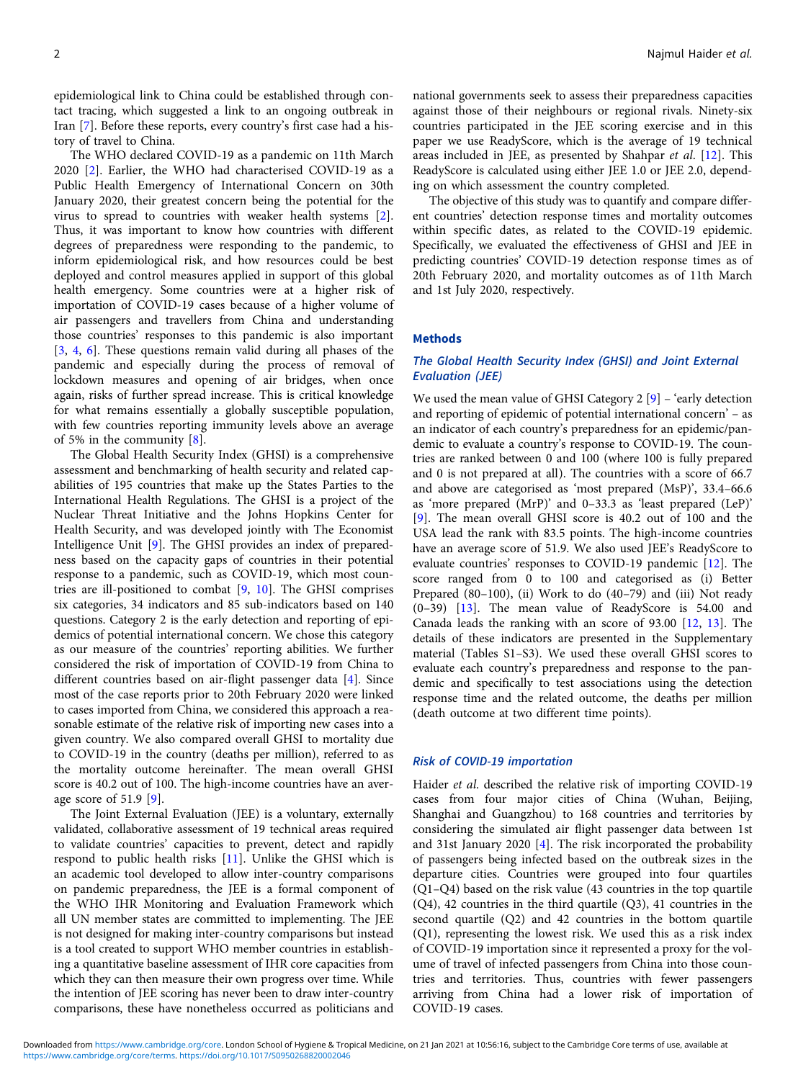epidemiological link to China could be established through contact tracing, which suggested a link to an ongoing outbreak in Iran [\[7\]](#page-6-0). Before these reports, every country's first case had a history of travel to China.

The WHO declared COVID-19 as a pandemic on 11th March 2020 [\[2\]](#page-6-0). Earlier, the WHO had characterised COVID-19 as a Public Health Emergency of International Concern on 30th January 2020, their greatest concern being the potential for the virus to spread to countries with weaker health systems [\[2\]](#page-6-0). Thus, it was important to know how countries with different degrees of preparedness were responding to the pandemic, to inform epidemiological risk, and how resources could be best deployed and control measures applied in support of this global health emergency. Some countries were at a higher risk of importation of COVID-19 cases because of a higher volume of air passengers and travellers from China and understanding those countries' responses to this pandemic is also important [[3,](#page-6-0) [4,](#page-6-0) [6](#page-6-0)]. These questions remain valid during all phases of the pandemic and especially during the process of removal of lockdown measures and opening of air bridges, when once again, risks of further spread increase. This is critical knowledge for what remains essentially a globally susceptible population, with few countries reporting immunity levels above an average of 5% in the community [[8](#page-6-0)].

The Global Health Security Index (GHSI) is a comprehensive assessment and benchmarking of health security and related capabilities of 195 countries that make up the States Parties to the International Health Regulations. The GHSI is a project of the Nuclear Threat Initiative and the Johns Hopkins Center for Health Security, and was developed jointly with The Economist Intelligence Unit [[9](#page-6-0)]. The GHSI provides an index of preparedness based on the capacity gaps of countries in their potential response to a pandemic, such as COVID-19, which most countries are ill-positioned to combat [\[9,](#page-6-0) [10](#page-6-0)]. The GHSI comprises six categories, 34 indicators and 85 sub-indicators based on 140 questions. Category 2 is the early detection and reporting of epidemics of potential international concern. We chose this category as our measure of the countries' reporting abilities. We further considered the risk of importation of COVID-19 from China to different countries based on air-flight passenger data [\[4\]](#page-6-0). Since most of the case reports prior to 20th February 2020 were linked to cases imported from China, we considered this approach a reasonable estimate of the relative risk of importing new cases into a given country. We also compared overall GHSI to mortality due to COVID-19 in the country (deaths per million), referred to as the mortality outcome hereinafter. The mean overall GHSI score is 40.2 out of 100. The high-income countries have an average score of 51.9 [[9](#page-6-0)].

The Joint External Evaluation (JEE) is a voluntary, externally validated, collaborative assessment of 19 technical areas required to validate countries' capacities to prevent, detect and rapidly respond to public health risks [\[11](#page-6-0)]. Unlike the GHSI which is an academic tool developed to allow inter-country comparisons on pandemic preparedness, the JEE is a formal component of the WHO IHR Monitoring and Evaluation Framework which all UN member states are committed to implementing. The JEE is not designed for making inter-country comparisons but instead is a tool created to support WHO member countries in establishing a quantitative baseline assessment of IHR core capacities from which they can then measure their own progress over time. While the intention of JEE scoring has never been to draw inter-country comparisons, these have nonetheless occurred as politicians and

national governments seek to assess their preparedness capacities against those of their neighbours or regional rivals. Ninety-six countries participated in the JEE scoring exercise and in this paper we use ReadyScore, which is the average of 19 technical areas included in JEE, as presented by Shahpar et al. [[12\]](#page-6-0). This ReadyScore is calculated using either JEE 1.0 or JEE 2.0, depending on which assessment the country completed.

The objective of this study was to quantify and compare different countries' detection response times and mortality outcomes within specific dates, as related to the COVID-19 epidemic. Specifically, we evaluated the effectiveness of GHSI and JEE in predicting countries' COVID-19 detection response times as of 20th February 2020, and mortality outcomes as of 11th March and 1st July 2020, respectively.

#### Methods

## The Global Health Security Index (GHSI) and Joint External Evaluation (JEE)

We used the mean value of GHSI Category 2 [[9](#page-6-0)] – 'early detection and reporting of epidemic of potential international concern' – as an indicator of each country's preparedness for an epidemic/pandemic to evaluate a country's response to COVID-19. The countries are ranked between 0 and 100 (where 100 is fully prepared and 0 is not prepared at all). The countries with a score of 66.7 and above are categorised as 'most prepared (MsP)', 33.4–66.6 as 'more prepared (MrP)' and 0–33.3 as 'least prepared (LeP)' [[9](#page-6-0)]. The mean overall GHSI score is 40.2 out of 100 and the USA lead the rank with 83.5 points. The high-income countries have an average score of 51.9. We also used JEE's ReadyScore to evaluate countries' responses to COVID-19 pandemic [[12\]](#page-6-0). The score ranged from 0 to 100 and categorised as (i) Better Prepared (80–100), (ii) Work to do (40–79) and (iii) Not ready (0–39) [\[13](#page-7-0)]. The mean value of ReadyScore is 54.00 and Canada leads the ranking with an score of 93.00 [\[12](#page-6-0), [13\]](#page-7-0). The details of these indicators are presented in the Supplementary material (Tables S1–S3). We used these overall GHSI scores to evaluate each country's preparedness and response to the pandemic and specifically to test associations using the detection response time and the related outcome, the deaths per million (death outcome at two different time points).

#### Risk of COVID-19 importation

Haider et al. described the relative risk of importing COVID-19 cases from four major cities of China (Wuhan, Beijing, Shanghai and Guangzhou) to 168 countries and territories by considering the simulated air flight passenger data between 1st and 31st January 2020 [\[4\]](#page-6-0). The risk incorporated the probability of passengers being infected based on the outbreak sizes in the departure cities. Countries were grouped into four quartiles (Q1–Q4) based on the risk value (43 countries in the top quartile (Q4), 42 countries in the third quartile (Q3), 41 countries in the second quartile (Q2) and 42 countries in the bottom quartile (Q1), representing the lowest risk. We used this as a risk index of COVID-19 importation since it represented a proxy for the volume of travel of infected passengers from China into those countries and territories. Thus, countries with fewer passengers arriving from China had a lower risk of importation of COVID-19 cases.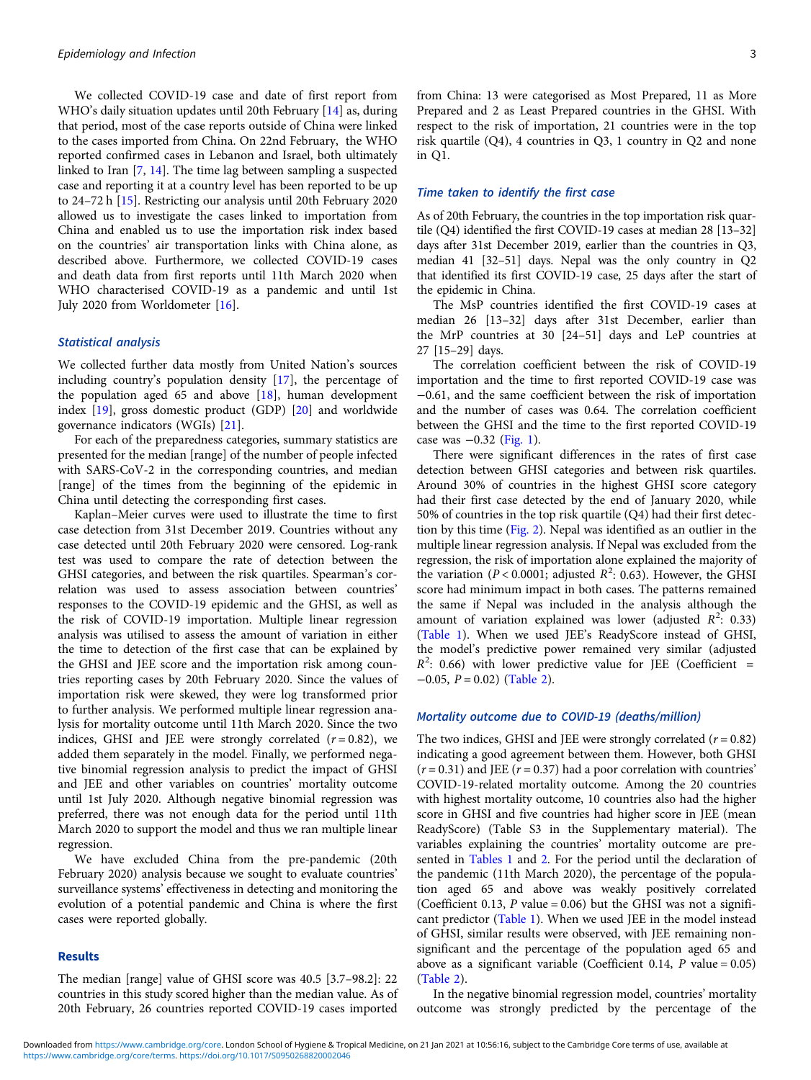We collected COVID-19 case and date of first report from WHO's daily situation updates until 20th February [[14](#page-7-0)] as, during that period, most of the case reports outside of China were linked to the cases imported from China. On 22nd February, the WHO reported confirmed cases in Lebanon and Israel, both ultimately linked to Iran [[7](#page-6-0), [14\]](#page-7-0). The time lag between sampling a suspected case and reporting it at a country level has been reported to be up to 24–72 h [[15\]](#page-7-0). Restricting our analysis until 20th February 2020 allowed us to investigate the cases linked to importation from China and enabled us to use the importation risk index based on the countries' air transportation links with China alone, as described above. Furthermore, we collected COVID-19 cases and death data from first reports until 11th March 2020 when WHO characterised COVID-19 as a pandemic and until 1st July 2020 from Worldometer [\[16](#page-7-0)].

### Statistical analysis

We collected further data mostly from United Nation's sources including country's population density [[17\]](#page-7-0), the percentage of the population aged  $65$  and above [[18\]](#page-7-0), human development index [[19\]](#page-7-0), gross domestic product (GDP) [\[20\]](#page-7-0) and worldwide governance indicators (WGIs) [[21](#page-7-0)].

For each of the preparedness categories, summary statistics are presented for the median [range] of the number of people infected with SARS-CoV-2 in the corresponding countries, and median [range] of the times from the beginning of the epidemic in China until detecting the corresponding first cases.

Kaplan–Meier curves were used to illustrate the time to first case detection from 31st December 2019. Countries without any case detected until 20th February 2020 were censored. Log-rank test was used to compare the rate of detection between the GHSI categories, and between the risk quartiles. Spearman's correlation was used to assess association between countries' responses to the COVID-19 epidemic and the GHSI, as well as the risk of COVID-19 importation. Multiple linear regression analysis was utilised to assess the amount of variation in either the time to detection of the first case that can be explained by the GHSI and JEE score and the importation risk among countries reporting cases by 20th February 2020. Since the values of importation risk were skewed, they were log transformed prior to further analysis. We performed multiple linear regression analysis for mortality outcome until 11th March 2020. Since the two indices, GHSI and JEE were strongly correlated  $(r = 0.82)$ , we added them separately in the model. Finally, we performed negative binomial regression analysis to predict the impact of GHSI and JEE and other variables on countries' mortality outcome until 1st July 2020. Although negative binomial regression was preferred, there was not enough data for the period until 11th March 2020 to support the model and thus we ran multiple linear regression.

We have excluded China from the pre-pandemic (20th February 2020) analysis because we sought to evaluate countries' surveillance systems' effectiveness in detecting and monitoring the evolution of a potential pandemic and China is where the first cases were reported globally.

## Results

The median [range] value of GHSI score was 40.5 [3.7–98.2]: 22 countries in this study scored higher than the median value. As of 20th February, 26 countries reported COVID-19 cases imported

from China: 13 were categorised as Most Prepared, 11 as More Prepared and 2 as Least Prepared countries in the GHSI. With respect to the risk of importation, 21 countries were in the top risk quartile (Q4), 4 countries in Q3, 1 country in Q2 and none in Q1.

#### Time taken to identify the first case

As of 20th February, the countries in the top importation risk quartile (Q4) identified the first COVID-19 cases at median 28 [13–32] days after 31st December 2019, earlier than the countries in Q3, median 41 [32–51] days. Nepal was the only country in Q2 that identified its first COVID-19 case, 25 days after the start of the epidemic in China.

The MsP countries identified the first COVID-19 cases at median 26 [13–32] days after 31st December, earlier than the MrP countries at 30 [24–51] days and LeP countries at 27 [15–29] days.

The correlation coefficient between the risk of COVID-19 importation and the time to first reported COVID-19 case was −0.61, and the same coefficient between the risk of importation and the number of cases was 0.64. The correlation coefficient between the GHSI and the time to the first reported COVID-19 case was −0.32 [\(Fig. 1\)](#page-3-0).

There were significant differences in the rates of first case detection between GHSI categories and between risk quartiles. Around 30% of countries in the highest GHSI score category had their first case detected by the end of January 2020, while 50% of countries in the top risk quartile (Q4) had their first detection by this time ([Fig. 2\)](#page-3-0). Nepal was identified as an outlier in the multiple linear regression analysis. If Nepal was excluded from the regression, the risk of importation alone explained the majority of the variation ( $P < 0.0001$ ; adjusted  $R^2$ : 0.63). However, the GHSI score had minimum impact in both cases. The patterns remained the same if Nepal was included in the analysis although the amount of variation explained was lower (adjusted  $R^2$ : 0.33) [\(Table 1\)](#page-4-0). When we used JEE's ReadyScore instead of GHSI, the model's predictive power remained very similar (adjusted  $R^2$ : 0.66) with lower predictive value for JEE (Coefficient =  $-0.05$ ,  $P = 0.02$ ) ([Table 2](#page-5-0)).

#### Mortality outcome due to COVID-19 (deaths/million)

The two indices, GHSI and JEE were strongly correlated  $(r = 0.82)$ indicating a good agreement between them. However, both GHSI  $(r = 0.31)$  and JEE ( $r = 0.37$ ) had a poor correlation with countries' COVID-19-related mortality outcome. Among the 20 countries with highest mortality outcome, 10 countries also had the higher score in GHSI and five countries had higher score in JEE (mean ReadyScore) (Table S3 in the Supplementary material). The variables explaining the countries' mortality outcome are presented in [Tables 1](#page-4-0) and [2](#page-5-0). For the period until the declaration of the pandemic (11th March 2020), the percentage of the population aged 65 and above was weakly positively correlated (Coefficient 0.13,  $P$  value = 0.06) but the GHSI was not a significant predictor ([Table 1\)](#page-4-0). When we used JEE in the model instead of GHSI, similar results were observed, with JEE remaining nonsignificant and the percentage of the population aged 65 and above as a significant variable (Coefficient 0.14, P value = 0.05) [\(Table 2](#page-5-0)).

In the negative binomial regression model, countries' mortality outcome was strongly predicted by the percentage of the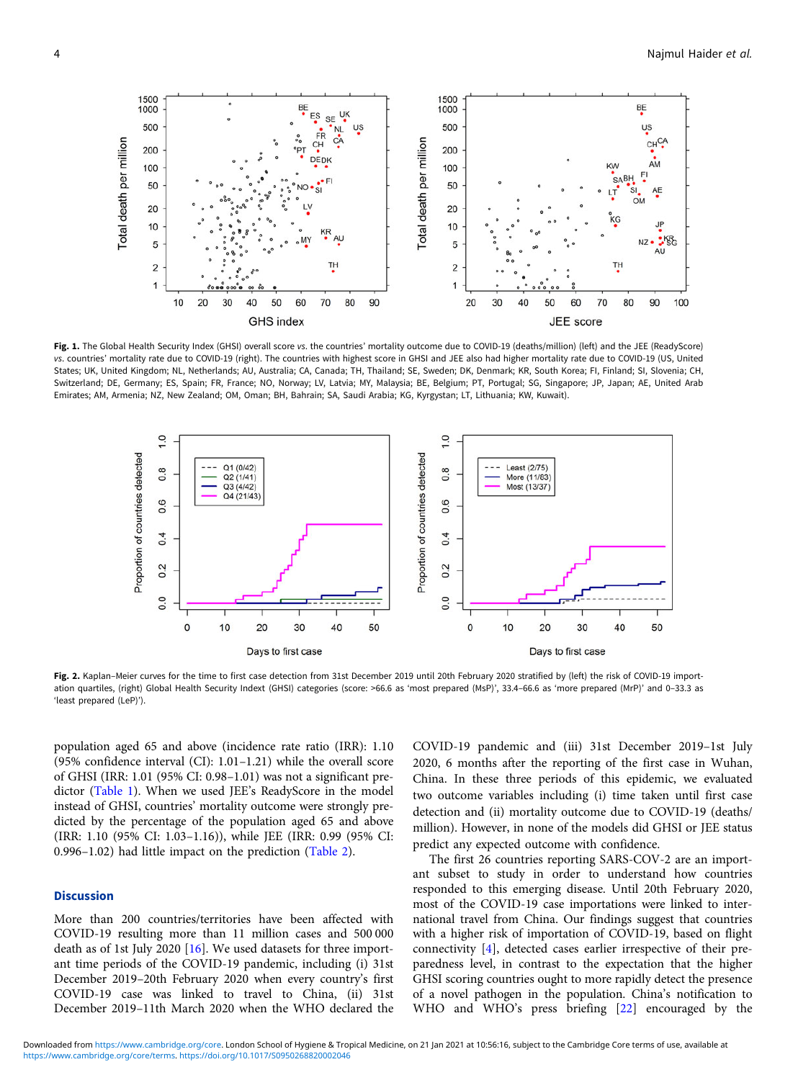<span id="page-3-0"></span>

Fig. 1. The Global Health Security Index (GHSI) overall score vs. the countries' mortality outcome due to COVID-19 (deaths/million) (left) and the JEE (ReadyScore) vs. countries' mortality rate due to COVID-19 (right). The countries with highest score in GHSI and JEE also had higher mortality rate due to COVID-19 (US, United States; UK, United Kingdom; NL, Netherlands; AU, Australia; CA, Canada; TH, Thailand; SE, Sweden; DK, Denmark; KR, South Korea; FI, Finland; SI, Slovenia; CH, Switzerland; DE, Germany; ES, Spain; FR, France; NO, Norway; LV, Latvia; MY, Malaysia; BE, Belgium; PT, Portugal; SG, Singapore; JP, Japan; AE, United Arab Emirates; AM, Armenia; NZ, New Zealand; OM, Oman; BH, Bahrain; SA, Saudi Arabia; KG, Kyrgystan; LT, Lithuania; KW, Kuwait).



Fig. 2. Kaplan–Meier curves for the time to first case detection from 31st December 2019 until 20th February 2020 stratified by (left) the risk of COVID-19 importation quartiles, (right) Global Health Security Indext (GHSI) categories (score: >66.6 as 'most prepared (MsP)', 33.4–66.6 as 'more prepared (MrP)' and 0–33.3 as 'least prepared (LeP)').

population aged 65 and above (incidence rate ratio (IRR): 1.10 (95% confidence interval (CI): 1.01–1.21) while the overall score of GHSI (IRR: 1.01 (95% CI: 0.98–1.01) was not a significant predictor [\(Table 1](#page-4-0)). When we used JEE's ReadyScore in the model instead of GHSI, countries' mortality outcome were strongly predicted by the percentage of the population aged 65 and above (IRR: 1.10 (95% CI: 1.03–1.16)), while JEE (IRR: 0.99 (95% CI: 0.996–1.02) had little impact on the prediction [\(Table 2\)](#page-5-0).

#### **Discussion**

More than 200 countries/territories have been affected with COVID-19 resulting more than 11 million cases and 500 000 death as of 1st July 2020 [[16\]](#page-7-0). We used datasets for three important time periods of the COVID-19 pandemic, including (i) 31st December 2019–20th February 2020 when every country's first COVID-19 case was linked to travel to China, (ii) 31st December 2019–11th March 2020 when the WHO declared the

COVID-19 pandemic and (iii) 31st December 2019–1st July 2020, 6 months after the reporting of the first case in Wuhan, China. In these three periods of this epidemic, we evaluated two outcome variables including (i) time taken until first case detection and (ii) mortality outcome due to COVID-19 (deaths/ million). However, in none of the models did GHSI or JEE status predict any expected outcome with confidence.

The first 26 countries reporting SARS-COV-2 are an important subset to study in order to understand how countries responded to this emerging disease. Until 20th February 2020, most of the COVID-19 case importations were linked to international travel from China. Our findings suggest that countries with a higher risk of importation of COVID-19, based on flight connectivity [[4](#page-6-0)], detected cases earlier irrespective of their preparedness level, in contrast to the expectation that the higher GHSI scoring countries ought to more rapidly detect the presence of a novel pathogen in the population. China's notification to WHO and WHO's press briefing [[22\]](#page-7-0) encouraged by the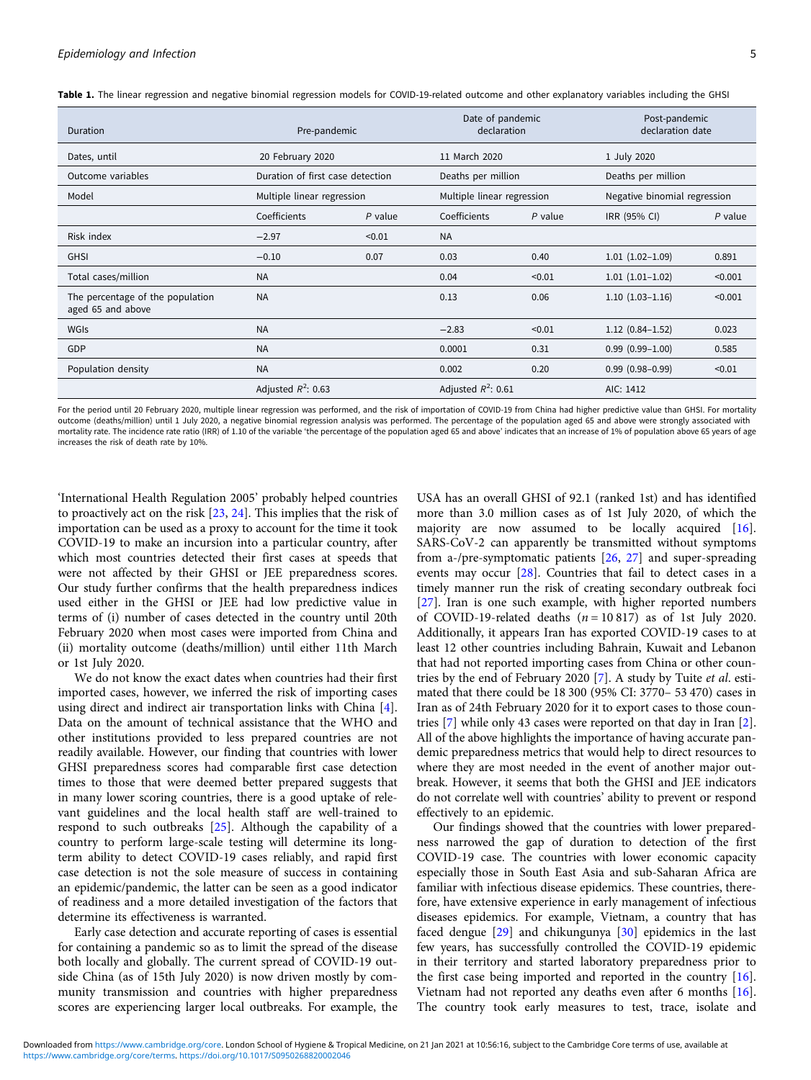<span id="page-4-0"></span>

|  |  | Table 1. The linear regression and negative binomial regression models for COVID-19-related outcome and other explanatory variables including the GHSI |  |
|--|--|--------------------------------------------------------------------------------------------------------------------------------------------------------|--|
|  |  |                                                                                                                                                        |  |

| Duration                                              | Pre-pandemic                     |           | Date of pandemic<br>declaration |                            |                     | Post-pandemic<br>declaration date |  |
|-------------------------------------------------------|----------------------------------|-----------|---------------------------------|----------------------------|---------------------|-----------------------------------|--|
| Dates, until                                          | 20 February 2020                 |           | 11 March 2020                   |                            |                     | 1 July 2020                       |  |
| Outcome variables                                     | Duration of first case detection |           |                                 | Deaths per million         |                     | Deaths per million                |  |
| Model                                                 | Multiple linear regression       |           |                                 | Multiple linear regression |                     | Negative binomial regression      |  |
|                                                       | Coefficients                     | $P$ value | Coefficients                    | $P$ value                  | IRR (95% CI)        | $P$ value                         |  |
| Risk index                                            | $-2.97$                          | < 0.01    | <b>NA</b>                       |                            |                     |                                   |  |
| <b>GHSI</b>                                           | $-0.10$                          | 0.07      | 0.03                            | 0.40                       | $1.01(1.02-1.09)$   | 0.891                             |  |
| Total cases/million                                   | <b>NA</b>                        |           | 0.04                            | < 0.01                     | $1.01(1.01-1.02)$   | < 0.001                           |  |
| The percentage of the population<br>aged 65 and above | <b>NA</b>                        |           | 0.13                            | 0.06                       | $1.10(1.03-1.16)$   | < 0.001                           |  |
| <b>WGIS</b>                                           | <b>NA</b>                        |           | $-2.83$                         | < 0.01                     | $1.12(0.84-1.52)$   | 0.023                             |  |
| GDP                                                   | <b>NA</b>                        |           | 0.0001                          | 0.31                       | $0.99(0.99 - 1.00)$ | 0.585                             |  |
| Population density                                    | <b>NA</b>                        |           | 0.002                           | 0.20                       | $0.99(0.98 - 0.99)$ | < 0.01                            |  |
|                                                       | Adjusted $R^2$ : 0.63            |           |                                 | Adjusted $R^2$ : 0.61      |                     | AIC: 1412                         |  |

For the period until 20 February 2020, multiple linear regression was performed, and the risk of importation of COVID-19 from China had higher predictive value than GHSI. For mortality outcome (deaths/million) until 1 July 2020, a negative binomial regression analysis was performed. The percentage of the population aged 65 and above were strongly associated with mortality rate. The incidence rate ratio (IRR) of 1.10 of the variable 'the percentage of the population aged 65 and above' indicates that an increase of 1% of population above 65 years of age increases the risk of death rate by 10%.

'International Health Regulation 2005' probably helped countries to proactively act on the risk [\[23](#page-7-0), [24](#page-7-0)]. This implies that the risk of importation can be used as a proxy to account for the time it took COVID-19 to make an incursion into a particular country, after which most countries detected their first cases at speeds that were not affected by their GHSI or JEE preparedness scores. Our study further confirms that the health preparedness indices used either in the GHSI or JEE had low predictive value in terms of (i) number of cases detected in the country until 20th February 2020 when most cases were imported from China and (ii) mortality outcome (deaths/million) until either 11th March or 1st July 2020.

We do not know the exact dates when countries had their first imported cases, however, we inferred the risk of importing cases using direct and indirect air transportation links with China [\[4\]](#page-6-0). Data on the amount of technical assistance that the WHO and other institutions provided to less prepared countries are not readily available. However, our finding that countries with lower GHSI preparedness scores had comparable first case detection times to those that were deemed better prepared suggests that in many lower scoring countries, there is a good uptake of relevant guidelines and the local health staff are well-trained to respond to such outbreaks [\[25\]](#page-7-0). Although the capability of a country to perform large-scale testing will determine its longterm ability to detect COVID-19 cases reliably, and rapid first case detection is not the sole measure of success in containing an epidemic/pandemic, the latter can be seen as a good indicator of readiness and a more detailed investigation of the factors that determine its effectiveness is warranted.

Early case detection and accurate reporting of cases is essential for containing a pandemic so as to limit the spread of the disease both locally and globally. The current spread of COVID-19 outside China (as of 15th July 2020) is now driven mostly by community transmission and countries with higher preparedness scores are experiencing larger local outbreaks. For example, the

USA has an overall GHSI of 92.1 (ranked 1st) and has identified more than 3.0 million cases as of 1st July 2020, of which the majority are now assumed to be locally acquired [\[16](#page-7-0)]. SARS-CoV-2 can apparently be transmitted without symptoms from a-/pre-symptomatic patients [[26,](#page-7-0) [27](#page-7-0)] and super-spreading events may occur [[28\]](#page-7-0). Countries that fail to detect cases in a timely manner run the risk of creating secondary outbreak foci [\[27\]](#page-7-0). Iran is one such example, with higher reported numbers of COVID-19-related deaths  $(n = 10817)$  as of 1st July 2020. Additionally, it appears Iran has exported COVID-19 cases to at least 12 other countries including Bahrain, Kuwait and Lebanon that had not reported importing cases from China or other countries by the end of February 2020 [\[7\]](#page-6-0). A study by Tuite et al. estimated that there could be 18 300 (95% CI: 3770– 53 470) cases in Iran as of 24th February 2020 for it to export cases to those countries [\[7\]](#page-6-0) while only 43 cases were reported on that day in Iran [[2](#page-6-0)]. All of the above highlights the importance of having accurate pandemic preparedness metrics that would help to direct resources to where they are most needed in the event of another major outbreak. However, it seems that both the GHSI and JEE indicators do not correlate well with countries' ability to prevent or respond effectively to an epidemic.

Our findings showed that the countries with lower preparedness narrowed the gap of duration to detection of the first COVID-19 case. The countries with lower economic capacity especially those in South East Asia and sub-Saharan Africa are familiar with infectious disease epidemics. These countries, therefore, have extensive experience in early management of infectious diseases epidemics. For example, Vietnam, a country that has faced dengue [[29\]](#page-7-0) and chikungunya [\[30](#page-7-0)] epidemics in the last few years, has successfully controlled the COVID-19 epidemic in their territory and started laboratory preparedness prior to the first case being imported and reported in the country [\[16](#page-7-0)]. Vietnam had not reported any deaths even after 6 months [\[16](#page-7-0)]. The country took early measures to test, trace, isolate and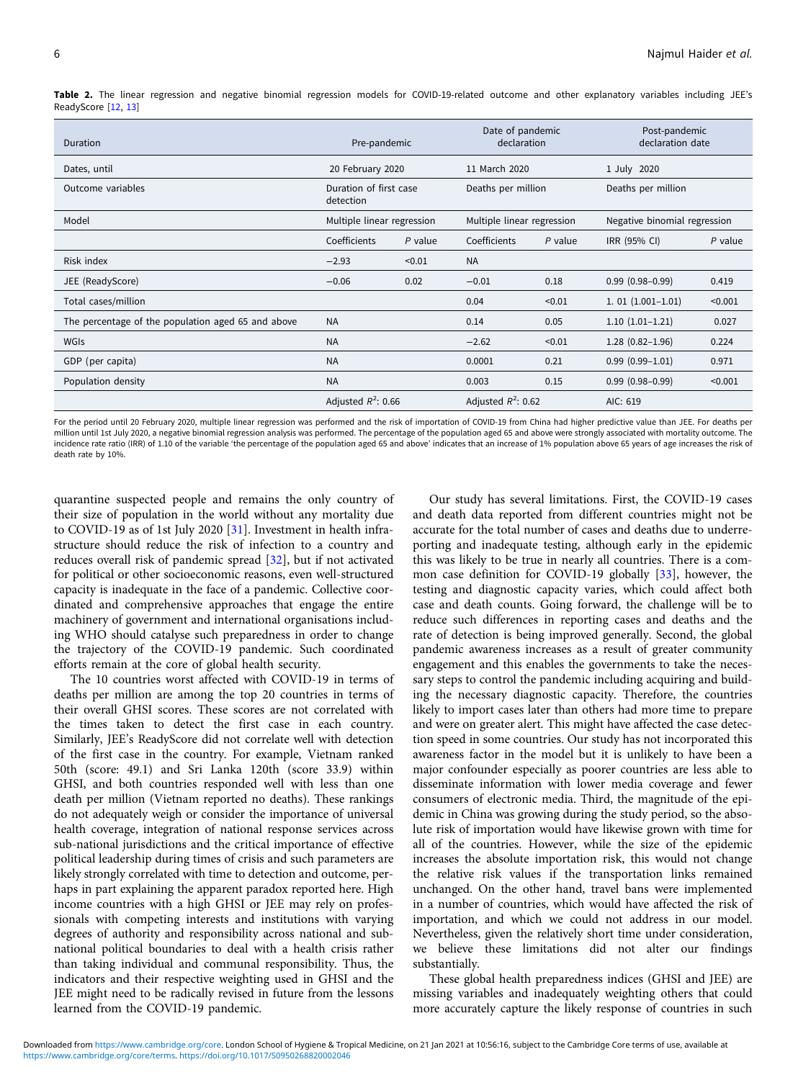Duration Pre-pandemic Date of pandemic declaration Post-pandemic declaration date Dates, until 20 February 2020 11 March 2020 1 July 2020 Outcome variables **Duration of first case** detection Deaths per million Deaths per million Model Multiple linear regression Multiple linear regression Negative binomial regression Coefficients P value Coefficients P value IRR (95% CI) P value Risk index −2.93 <0.01 NA JEE (ReadyScore) −0.06 0.02 −0.01 0.18 0.99 (0.98–0.99) 0.419 Total cases/million 0.04 <0.01 1. 01 (1.001–1.01) <0.001 The percentage of the population aged 65 and above NA 0.14 0.05 1.10 (1.01–1.21) 0.027 WGIs NA −2.62 <0.01 1.28 (0.82–1.96) 0.224 GDP (per capita) 0.971 0.99 (0.99–1.01) 0.971 0.971 0.99 (0.99–1.01) 0.971 0.971 0.971 0.971 0.971 0.971 0.971 Population density NA 0.003 0.15 0.99 (0.98–0.99) <0.001 Adjusted  $R^2$ : 0.66 Adjusted  $R^2$ : 0.62 AIC: 619

<span id="page-5-0"></span>Table 2. The linear regression and negative binomial regression models for COVID-19-related outcome and other explanatory variables including JEE's ReadyScore [\[12,](#page-6-0) [13](#page-7-0)]

For the period until 20 February 2020, multiple linear regression was performed and the risk of importation of COVID-19 from China had higher predictive value than JEE. For deaths per million until 1st July 2020, a negative binomial regression analysis was performed. The percentage of the population aged 65 and above were strongly associated with mortality outcome. The incidence rate ratio (IRR) of 1.10 of the variable 'the percentage of the population aged 65 and above' indicates that an increase of 1% population above 65 years of age increases the risk of death rate by 10%.

quarantine suspected people and remains the only country of their size of population in the world without any mortality due to COVID-19 as of 1st July 2020 [[31\]](#page-7-0). Investment in health infrastructure should reduce the risk of infection to a country and reduces overall risk of pandemic spread [\[32](#page-7-0)], but if not activated for political or other socioeconomic reasons, even well-structured capacity is inadequate in the face of a pandemic. Collective coordinated and comprehensive approaches that engage the entire machinery of government and international organisations including WHO should catalyse such preparedness in order to change the trajectory of the COVID-19 pandemic. Such coordinated efforts remain at the core of global health security.

The 10 countries worst affected with COVID-19 in terms of deaths per million are among the top 20 countries in terms of their overall GHSI scores. These scores are not correlated with the times taken to detect the first case in each country. Similarly, JEE's ReadyScore did not correlate well with detection of the first case in the country. For example, Vietnam ranked 50th (score: 49.1) and Sri Lanka 120th (score 33.9) within GHSI, and both countries responded well with less than one death per million (Vietnam reported no deaths). These rankings do not adequately weigh or consider the importance of universal health coverage, integration of national response services across sub-national jurisdictions and the critical importance of effective political leadership during times of crisis and such parameters are likely strongly correlated with time to detection and outcome, perhaps in part explaining the apparent paradox reported here. High income countries with a high GHSI or JEE may rely on professionals with competing interests and institutions with varying degrees of authority and responsibility across national and subnational political boundaries to deal with a health crisis rather than taking individual and communal responsibility. Thus, the indicators and their respective weighting used in GHSI and the JEE might need to be radically revised in future from the lessons learned from the COVID-19 pandemic.

Our study has several limitations. First, the COVID-19 cases and death data reported from different countries might not be accurate for the total number of cases and deaths due to underreporting and inadequate testing, although early in the epidemic this was likely to be true in nearly all countries. There is a common case definition for COVID-19 globally [[33\]](#page-7-0), however, the testing and diagnostic capacity varies, which could affect both case and death counts. Going forward, the challenge will be to reduce such differences in reporting cases and deaths and the rate of detection is being improved generally. Second, the global pandemic awareness increases as a result of greater community engagement and this enables the governments to take the necessary steps to control the pandemic including acquiring and building the necessary diagnostic capacity. Therefore, the countries likely to import cases later than others had more time to prepare and were on greater alert. This might have affected the case detection speed in some countries. Our study has not incorporated this awareness factor in the model but it is unlikely to have been a major confounder especially as poorer countries are less able to disseminate information with lower media coverage and fewer consumers of electronic media. Third, the magnitude of the epidemic in China was growing during the study period, so the absolute risk of importation would have likewise grown with time for all of the countries. However, while the size of the epidemic increases the absolute importation risk, this would not change the relative risk values if the transportation links remained unchanged. On the other hand, travel bans were implemented in a number of countries, which would have affected the risk of importation, and which we could not address in our model. Nevertheless, given the relatively short time under consideration, we believe these limitations did not alter our findings substantially.

These global health preparedness indices (GHSI and JEE) are missing variables and inadequately weighting others that could more accurately capture the likely response of countries in such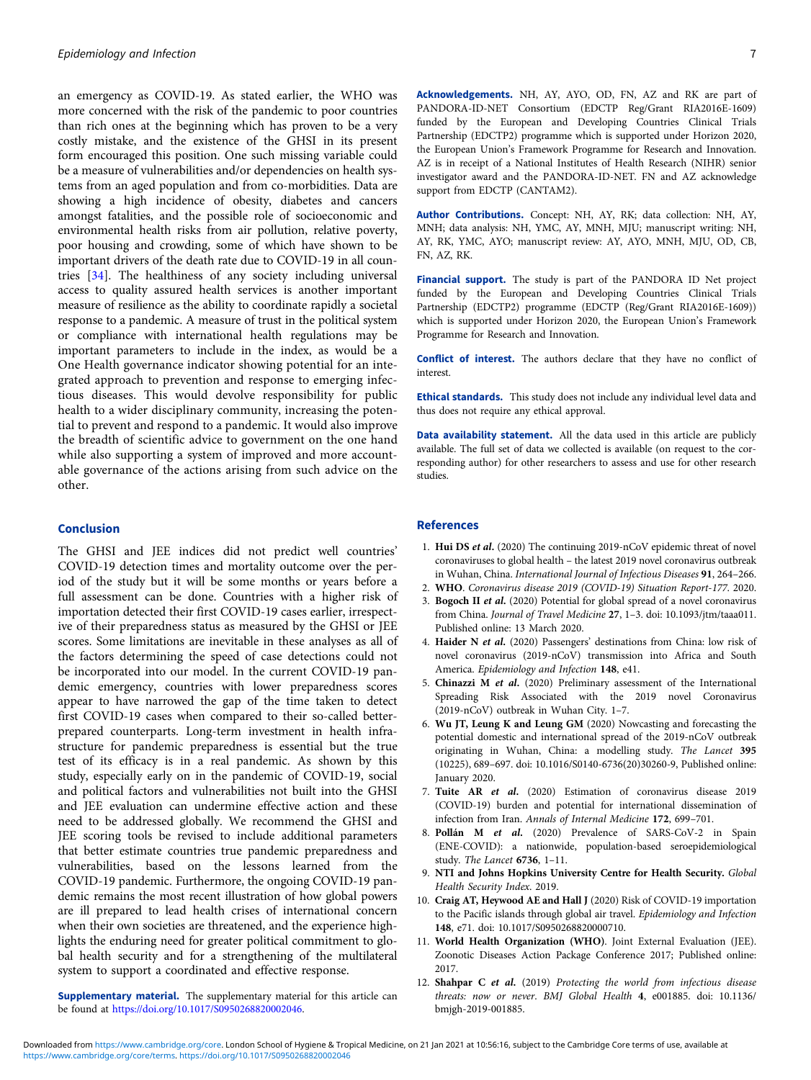<span id="page-6-0"></span>an emergency as COVID-19. As stated earlier, the WHO was more concerned with the risk of the pandemic to poor countries than rich ones at the beginning which has proven to be a very costly mistake, and the existence of the GHSI in its present form encouraged this position. One such missing variable could be a measure of vulnerabilities and/or dependencies on health systems from an aged population and from co-morbidities. Data are showing a high incidence of obesity, diabetes and cancers amongst fatalities, and the possible role of socioeconomic and environmental health risks from air pollution, relative poverty, poor housing and crowding, some of which have shown to be important drivers of the death rate due to COVID-19 in all countries [\[34](#page-7-0)]. The healthiness of any society including universal access to quality assured health services is another important measure of resilience as the ability to coordinate rapidly a societal response to a pandemic. A measure of trust in the political system or compliance with international health regulations may be important parameters to include in the index, as would be a One Health governance indicator showing potential for an integrated approach to prevention and response to emerging infectious diseases. This would devolve responsibility for public health to a wider disciplinary community, increasing the potential to prevent and respond to a pandemic. It would also improve the breadth of scientific advice to government on the one hand while also supporting a system of improved and more accountable governance of the actions arising from such advice on the other.

#### Conclusion

The GHSI and JEE indices did not predict well countries' COVID-19 detection times and mortality outcome over the period of the study but it will be some months or years before a full assessment can be done. Countries with a higher risk of importation detected their first COVID-19 cases earlier, irrespective of their preparedness status as measured by the GHSI or JEE scores. Some limitations are inevitable in these analyses as all of the factors determining the speed of case detections could not be incorporated into our model. In the current COVID-19 pandemic emergency, countries with lower preparedness scores appear to have narrowed the gap of the time taken to detect first COVID-19 cases when compared to their so-called betterprepared counterparts. Long-term investment in health infrastructure for pandemic preparedness is essential but the true test of its efficacy is in a real pandemic. As shown by this study, especially early on in the pandemic of COVID-19, social and political factors and vulnerabilities not built into the GHSI and JEE evaluation can undermine effective action and these need to be addressed globally. We recommend the GHSI and JEE scoring tools be revised to include additional parameters that better estimate countries true pandemic preparedness and vulnerabilities, based on the lessons learned from the COVID-19 pandemic. Furthermore, the ongoing COVID-19 pandemic remains the most recent illustration of how global powers are ill prepared to lead health crises of international concern when their own societies are threatened, and the experience highlights the enduring need for greater political commitment to global health security and for a strengthening of the multilateral system to support a coordinated and effective response.

Supplementary material. The supplementary material for this article can be found at [https://doi.org/10.1017/S0950268820002046.](https://doi.org/10.1017/S0950268820002046)

Acknowledgements. NH, AY, AYO, OD, FN, AZ and RK are part of PANDORA-ID-NET Consortium (EDCTP Reg/Grant RIA2016E-1609) funded by the European and Developing Countries Clinical Trials Partnership (EDCTP2) programme which is supported under Horizon 2020, the European Union's Framework Programme for Research and Innovation. AZ is in receipt of a National Institutes of Health Research (NIHR) senior investigator award and the PANDORA-ID-NET. FN and AZ acknowledge support from EDCTP (CANTAM2).

Author Contributions. Concept: NH, AY, RK; data collection: NH, AY, MNH; data analysis: NH, YMC, AY, MNH, MJU; manuscript writing: NH, AY, RK, YMC, AYO; manuscript review: AY, AYO, MNH, MJU, OD, CB, FN, AZ, RK.

Financial support. The study is part of the PANDORA ID Net project funded by the European and Developing Countries Clinical Trials Partnership (EDCTP2) programme (EDCTP (Reg/Grant RIA2016E-1609)) which is supported under Horizon 2020, the European Union's Framework Programme for Research and Innovation.

Conflict of interest. The authors declare that they have no conflict of interest.

Ethical standards. This study does not include any individual level data and thus does not require any ethical approval.

Data availability statement. All the data used in this article are publicly available. The full set of data we collected is available (on request to the corresponding author) for other researchers to assess and use for other research studies.

#### References

- 1. Hui DS et al. (2020) The continuing 2019-nCoV epidemic threat of novel coronaviruses to global health – the latest 2019 novel coronavirus outbreak in Wuhan, China. International Journal of Infectious Diseases 91, 264–266.
- 2. WHO. Coronavirus disease 2019 (COVID-19) Situation Report-177. 2020.
- 3. Bogoch II et al. (2020) Potential for global spread of a novel coronavirus from China. Journal of Travel Medicine 27, 1–3. doi: 10.1093/jtm/taaa011. Published online: 13 March 2020.
- 4. Haider N et al. (2020) Passengers' destinations from China: low risk of novel coronavirus (2019-nCoV) transmission into Africa and South America. Epidemiology and Infection 148, e41.
- 5. Chinazzi M et al. (2020) Preliminary assessment of the International Spreading Risk Associated with the 2019 novel Coronavirus (2019-nCoV) outbreak in Wuhan City. 1–7.
- 6. Wu JT, Leung K and Leung GM (2020) Nowcasting and forecasting the potential domestic and international spread of the 2019-nCoV outbreak originating in Wuhan, China: a modelling study. The Lancet 395 (10225), 689–697. doi: 10.1016/S0140-6736(20)30260-9, Published online: January 2020.
- 7. Tuite AR et al. (2020) Estimation of coronavirus disease 2019 (COVID-19) burden and potential for international dissemination of infection from Iran. Annals of Internal Medicine 172, 699–701.
- 8. Pollán M et al. (2020) Prevalence of SARS-CoV-2 in Spain (ENE-COVID): a nationwide, population-based seroepidemiological study. The Lancet 6736, 1–11.
- 9. NTI and Johns Hopkins University Centre for Health Security. Global Health Security Index. 2019.
- 10. Craig AT, Heywood AE and Hall J (2020) Risk of COVID-19 importation to the Pacific islands through global air travel. Epidemiology and Infection 148, e71. doi: 10.1017/S0950268820000710.
- 11. World Health Organization (WHO). Joint External Evaluation (JEE). Zoonotic Diseases Action Package Conference 2017; Published online: 2017.
- 12. Shahpar C et al. (2019) Protecting the world from infectious disease threats: now or never. BMJ Global Health 4, e001885. doi: 10.1136/ bmjgh-2019-001885.